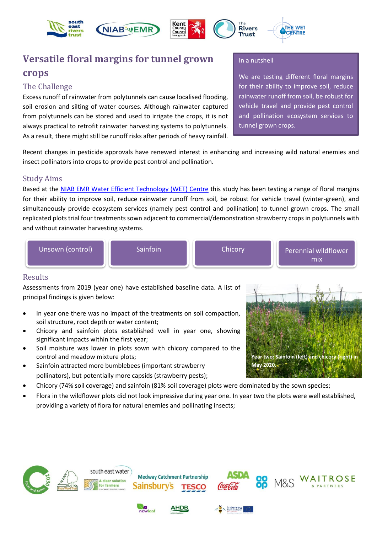







# **Versatile floral margins for tunnel grown crops**

## The Challenge

Excess runoff of rainwater from polytunnels can cause localised flooding, soil erosion and silting of water courses. Although rainwater captured from polytunnels can be stored and used to irrigate the crops, it is not always practical to retrofit rainwater harvesting systems to polytunnels. As a result, there might still be runoff risks after periods of heavy rainfall.

#### In a nutshell

**Rivers** 

Trust

We are testing different floral margins for their ability to improve soil, reduce rainwater runoff from soil, be robust for vehicle travel and provide pest control and pollination ecosystem services to tunnel grown crops.

**Year two: Sainfoin (left) and chicory (right) in** 

**May 2020.**

Recent changes in pesticide approvals have renewed interest in enhancing and increasing wild natural enemies and insect pollinators into crops to provide pest control and pollination.

## Study Aims

Based at the [NIAB EMR Water Efficient Technology \(WET\) Centre](http://www.emr.ac.uk/resource-efficiency-for-crop-production/current-projects/wet-centre/) this study has been testing a range of floral margins for their ability to improve soil, reduce rainwater runoff from soil, be robust for vehicle travel (winter-green), and simultaneously provide ecosystem services (namely pest control and pollination) to tunnel grown crops. The small replicated plots trial four treatments sown adjacent to commercial/demonstration strawberry crops in polytunnels with and without rainwater harvesting systems.



## Results

Assessments from 2019 (year one) have established baseline data. A list of principal findings is given below:

- In year one there was no impact of the treatments on soil compaction, soil structure, root depth or water content;
- Chicory and sainfoin plots established well in year one, showing significant impacts within the first year;
- Soil moisture was lower in plots sown with chicory compared to the control and meadow mixture plots;
- Sainfoin attracted more bumblebees (important strawberry pollinators), but potentially more capsids (strawberry pests);
- Chicory (74% soil coverage) and sainfoin (81% soil coverage) plots were dominated by the sown species;
- Flora in the wildflower plots did not look impressive during year one. In year two the plots were well established, providing a variety of flora for natural enemies and pollinating insects;